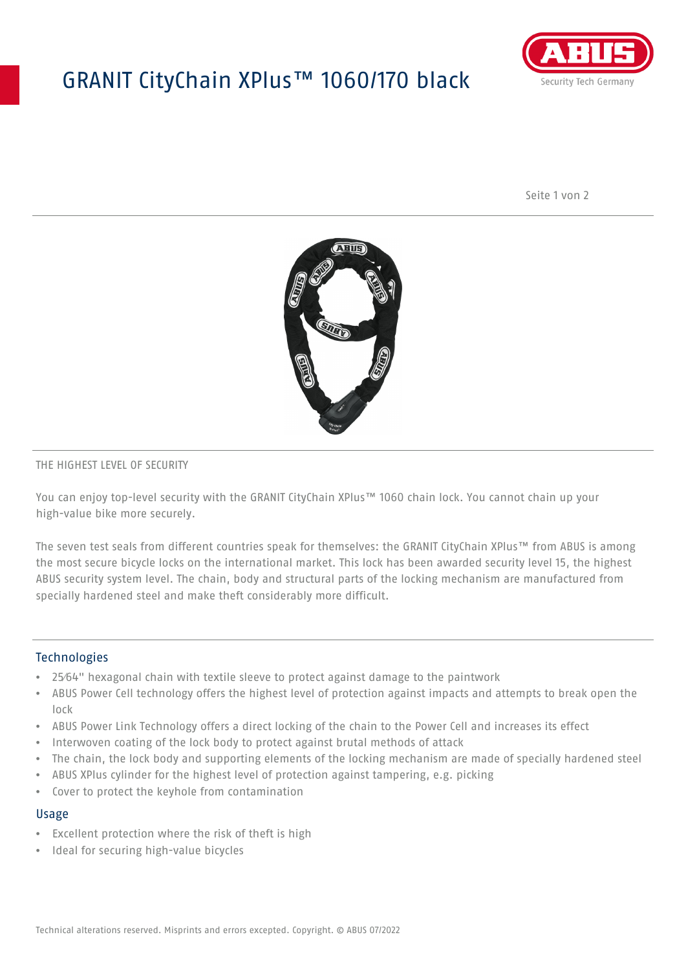## GRANIT CityChain XPlus™ 1060/170 black



Seite 1 von 2



#### THE HIGHEST LEVEL OF SECURITY

You can enjoy top-level security with the GRANIT CityChain XPlus™ 1060 chain lock. You cannot chain up your high-value bike more securely.

The seven test seals from different countries speak for themselves: the GRANIT CityChain XPlus™ from ABUS is among the most secure bicycle locks on the international market. This lock has been awarded security level 15, the highest ABUS security system level. The chain, body and structural parts of the locking mechanism are manufactured from specially hardened steel and make theft considerably more difficult.

#### **Technologies**

- 25⁄64" hexagonal chain with textile sleeve to protect against damage to the paintwork
- ABUS Power Cell technology offers the highest level of protection against impacts and attempts to break open the lock
- ABUS Power Link Technology offers a direct locking of the chain to the Power Cell and increases its effect
- Interwoven coating of the lock body to protect against brutal methods of attack
- The chain, the lock body and supporting elements of the locking mechanism are made of specially hardened steel
- ABUS XPlus cylinder for the highest level of protection against tampering, e.g. picking
- Cover to protect the keyhole from contamination

#### Usage

- Excellent protection where the risk of theft is high
- Ideal for securing high-value bicycles